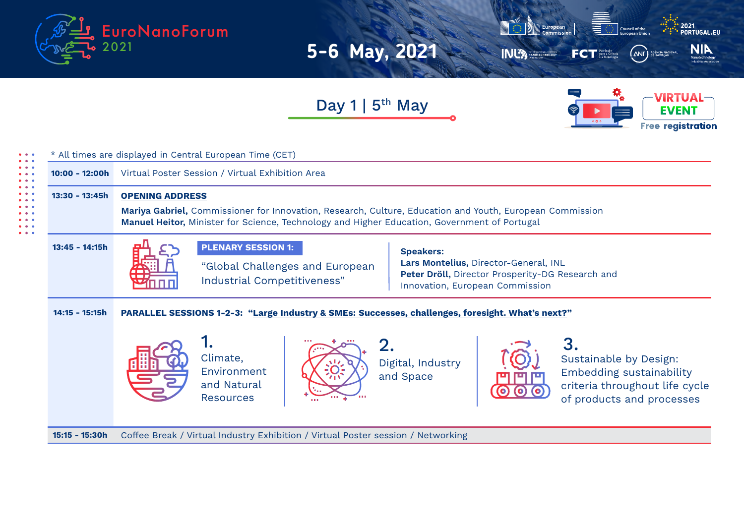



Day 1 |  $5<sup>th</sup>$  May



| $10:00 - 12:00h$ | Virtual Poster Session / Virtual Exhibition Area                                                                                                                                                                                                          |
|------------------|-----------------------------------------------------------------------------------------------------------------------------------------------------------------------------------------------------------------------------------------------------------|
| $13:30 - 13:45h$ | <b>OPENING ADDRESS</b><br>Mariya Gabriel, Commissioner for Innovation, Research, Culture, Education and Youth, European Commission<br>Manuel Heitor, Minister for Science, Technology and Higher Education, Government of Portugal                        |
| $13:45 - 14:15h$ | <b>PLENARY SESSION 1:</b><br><b>Speakers:</b><br>Lars Montelius, Director-General, INL<br>"Global Challenges and European<br>Peter Dröll, Director Prosperity-DG Research and<br>Industrial Competitiveness"<br>Innovation, European Commission           |
| $14:15 - 15:15h$ | PARALLEL SESSIONS 1-2-3: "Large Industry & SMEs: Successes, challenges, foresight. What's next?"                                                                                                                                                          |
|                  | 1.<br>3.<br>2.<br>Climate,<br>Sustainable by Design:<br>Digital, Industry<br>Environment<br><b>Embedding sustainability</b><br>and Space<br>and Natural<br>criteria throughout life cycle<br>of products and processes<br><b>Resources</b><br><b>COLL</b> |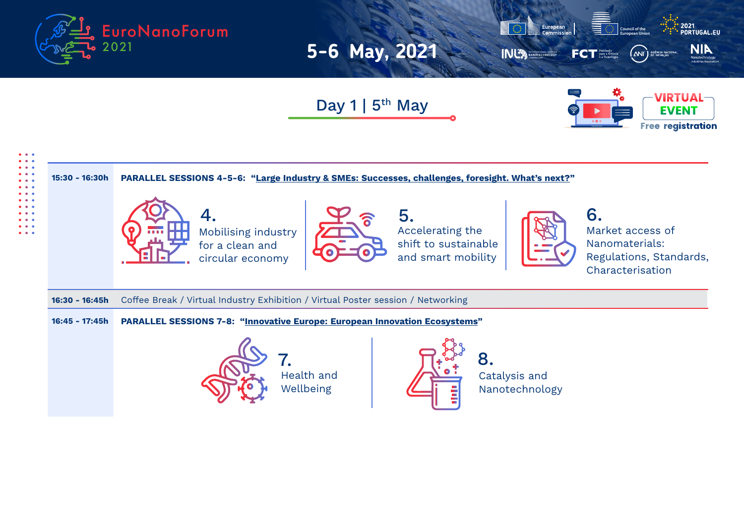



Day 1 |  $5<sup>th</sup>$  May



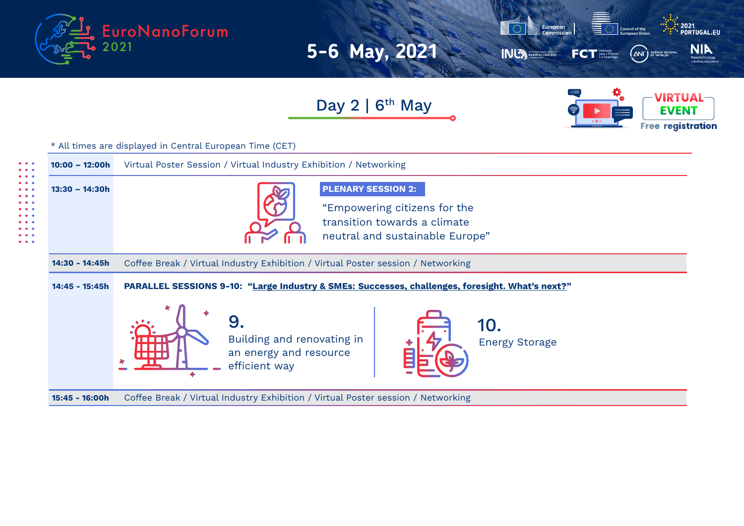



Day  $2 \mid 6^{th}$  May



Coffee Break / Virtual Industry Exhibition / Virtual Poster session / Networking Coffee Break / Virtual Industry Exhibition / Virtual Poster session / Networking Virtual Poster Session / Virtual Industry Exhibition / Networking **PARALLEL SESSIONS 9-10: "Large Industry & SMEs: Successes, challenges, foresight. What's next?" 10:00 – 12:00h 13:30 – 14:30h 15:45 - 16:00h 14:45 - 15:45h 14:30 - 14:45h** \* All times are displayed in Central European Time (CET)  $9.$  10. Building and renovating in  $\begin{array}{ccc} \uparrow & \uparrow & \downarrow \\ \uparrow & \downarrow & \downarrow \end{array}$  Energy Storage an energy and resource efficient way **PLENARY SESSION 2:** "Empowering citizens for the transition towards a climate neutral and sustainable Europe"